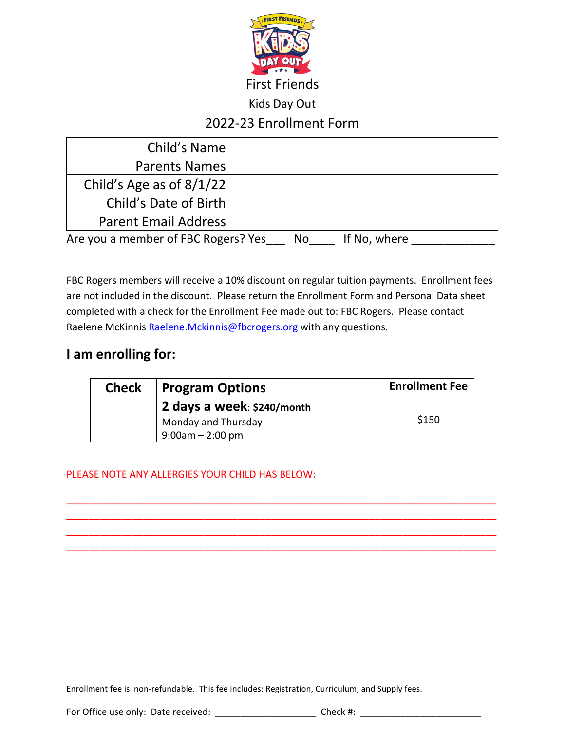

Kids Day Out

# 2022-23 Enrollment Form

| Child's Name                                              |  |  |  |  |
|-----------------------------------------------------------|--|--|--|--|
| <b>Parents Names</b>                                      |  |  |  |  |
| Child's Age as of $8/1/22$                                |  |  |  |  |
| Child's Date of Birth                                     |  |  |  |  |
| <b>Parent Email Address</b>                               |  |  |  |  |
| Are you a member of FBC Rogers? Yes<br>If No, where<br>No |  |  |  |  |

FBC Rogers members will receive a 10% discount on regular tuition payments. Enrollment fees are not included in the discount. Please return the Enrollment Form and Personal Data sheet completed with a check for the Enrollment Fee made out to: FBC Rogers. Please contact Raelene McKinnis [Raelene.Mckinnis@fbcrogers.org](mailto:Raelene.Mckinnis@fbcrogers.org) with any questions.

## **I am enrolling for:**

| <b>Check</b>               | <b>Program Options</b> | <b>Enrollment Fee</b> |
|----------------------------|------------------------|-----------------------|
| 2 days a week: \$240/month |                        |                       |
|                            | Monday and Thursday    | \$150                 |
|                            | $9:00$ am $-2:00$ pm   |                       |

\_\_\_\_\_\_\_\_\_\_\_\_\_\_\_\_\_\_\_\_\_\_\_\_\_\_\_\_\_\_\_\_\_\_\_\_\_\_\_\_\_\_\_\_\_\_\_\_\_\_\_\_\_\_\_\_\_\_\_\_\_\_\_\_\_\_\_\_\_\_\_\_\_\_\_\_\_\_ \_\_\_\_\_\_\_\_\_\_\_\_\_\_\_\_\_\_\_\_\_\_\_\_\_\_\_\_\_\_\_\_\_\_\_\_\_\_\_\_\_\_\_\_\_\_\_\_\_\_\_\_\_\_\_\_\_\_\_\_\_\_\_\_\_\_\_\_\_\_\_\_\_\_\_\_\_\_ \_\_\_\_\_\_\_\_\_\_\_\_\_\_\_\_\_\_\_\_\_\_\_\_\_\_\_\_\_\_\_\_\_\_\_\_\_\_\_\_\_\_\_\_\_\_\_\_\_\_\_\_\_\_\_\_\_\_\_\_\_\_\_\_\_\_\_\_\_\_\_\_\_\_\_\_\_\_ \_\_\_\_\_\_\_\_\_\_\_\_\_\_\_\_\_\_\_\_\_\_\_\_\_\_\_\_\_\_\_\_\_\_\_\_\_\_\_\_\_\_\_\_\_\_\_\_\_\_\_\_\_\_\_\_\_\_\_\_\_\_\_\_\_\_\_\_\_\_\_\_\_\_\_\_\_\_

#### PLEASE NOTE ANY ALLERGIES YOUR CHILD HAS BELOW:

Enrollment fee is non-refundable. This fee includes: Registration, Curriculum, and Supply fees.

For Office use only: Date received: \_\_\_\_\_\_\_\_\_\_\_\_\_\_\_\_\_\_\_\_\_\_\_\_\_\_ Check #: \_\_\_\_\_\_\_\_\_\_\_\_\_\_\_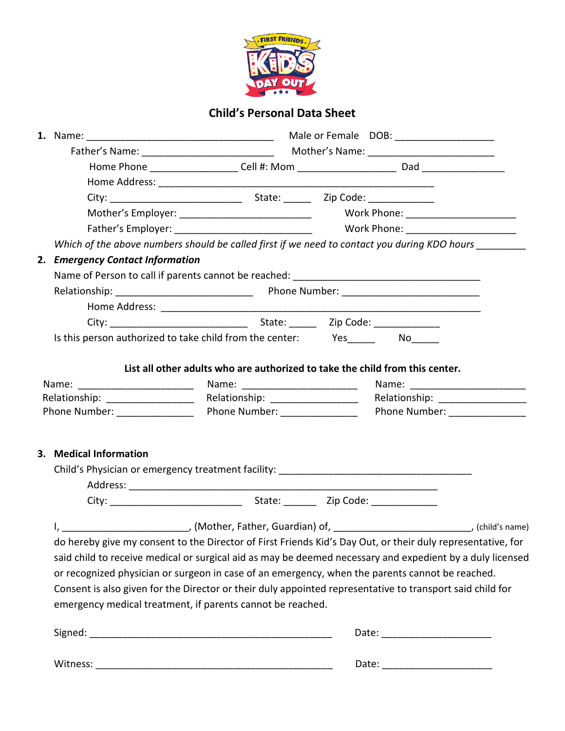

### **Child's Personal Data Sheet**

|                                                          |                                                                                                                                                                                                                                                                                                                                                                                                                                                                                                                                                                                                                                | Male or Female DOB: _____________________ |                                                                                                                                                                                       |  |
|----------------------------------------------------------|--------------------------------------------------------------------------------------------------------------------------------------------------------------------------------------------------------------------------------------------------------------------------------------------------------------------------------------------------------------------------------------------------------------------------------------------------------------------------------------------------------------------------------------------------------------------------------------------------------------------------------|-------------------------------------------|---------------------------------------------------------------------------------------------------------------------------------------------------------------------------------------|--|
|                                                          |                                                                                                                                                                                                                                                                                                                                                                                                                                                                                                                                                                                                                                |                                           |                                                                                                                                                                                       |  |
|                                                          |                                                                                                                                                                                                                                                                                                                                                                                                                                                                                                                                                                                                                                |                                           |                                                                                                                                                                                       |  |
|                                                          |                                                                                                                                                                                                                                                                                                                                                                                                                                                                                                                                                                                                                                |                                           |                                                                                                                                                                                       |  |
|                                                          |                                                                                                                                                                                                                                                                                                                                                                                                                                                                                                                                                                                                                                |                                           |                                                                                                                                                                                       |  |
|                                                          | Mother's Employer: _____________________________                                                                                                                                                                                                                                                                                                                                                                                                                                                                                                                                                                               |                                           | Work Phone: _________________________                                                                                                                                                 |  |
|                                                          |                                                                                                                                                                                                                                                                                                                                                                                                                                                                                                                                                                                                                                |                                           |                                                                                                                                                                                       |  |
|                                                          | Which of the above numbers should be called first if we need to contact you during KDO hours __________                                                                                                                                                                                                                                                                                                                                                                                                                                                                                                                        |                                           |                                                                                                                                                                                       |  |
| 2. Emergency Contact Information                         |                                                                                                                                                                                                                                                                                                                                                                                                                                                                                                                                                                                                                                |                                           |                                                                                                                                                                                       |  |
|                                                          |                                                                                                                                                                                                                                                                                                                                                                                                                                                                                                                                                                                                                                |                                           |                                                                                                                                                                                       |  |
|                                                          |                                                                                                                                                                                                                                                                                                                                                                                                                                                                                                                                                                                                                                |                                           |                                                                                                                                                                                       |  |
|                                                          |                                                                                                                                                                                                                                                                                                                                                                                                                                                                                                                                                                                                                                |                                           |                                                                                                                                                                                       |  |
|                                                          |                                                                                                                                                                                                                                                                                                                                                                                                                                                                                                                                                                                                                                |                                           |                                                                                                                                                                                       |  |
|                                                          | Is this person authorized to take child from the center: Yes_________ No_____                                                                                                                                                                                                                                                                                                                                                                                                                                                                                                                                                  |                                           |                                                                                                                                                                                       |  |
| Phone Number: ________________<br>3. Medical Information | Phone Number: ________________                                                                                                                                                                                                                                                                                                                                                                                                                                                                                                                                                                                                 |                                           | Name: 2008. [2010] Mame: 2010. [2010] Mame: 2010. [2010] Mame: 2010. [2010] Mame: 2010. [2010] Mame: 2010. [20<br>Relationship: ___________________<br>Phone Number: ________________ |  |
|                                                          |                                                                                                                                                                                                                                                                                                                                                                                                                                                                                                                                                                                                                                |                                           |                                                                                                                                                                                       |  |
|                                                          |                                                                                                                                                                                                                                                                                                                                                                                                                                                                                                                                                                                                                                |                                           |                                                                                                                                                                                       |  |
|                                                          |                                                                                                                                                                                                                                                                                                                                                                                                                                                                                                                                                                                                                                |                                           |                                                                                                                                                                                       |  |
|                                                          | I, ________________________________, (Mother, Father, Guardian) of, ________________________________, (child's name)<br>do hereby give my consent to the Director of First Friends Kid's Day Out, or their duly representative, for<br>said child to receive medical or surgical aid as may be deemed necessary and expedient by a duly licensed<br>or recognized physician or surgeon in case of an emergency, when the parents cannot be reached.<br>Consent is also given for the Director or their duly appointed representative to transport said child for<br>emergency medical treatment, if parents cannot be reached. |                                           |                                                                                                                                                                                       |  |
|                                                          |                                                                                                                                                                                                                                                                                                                                                                                                                                                                                                                                                                                                                                |                                           |                                                                                                                                                                                       |  |
|                                                          |                                                                                                                                                                                                                                                                                                                                                                                                                                                                                                                                                                                                                                |                                           |                                                                                                                                                                                       |  |